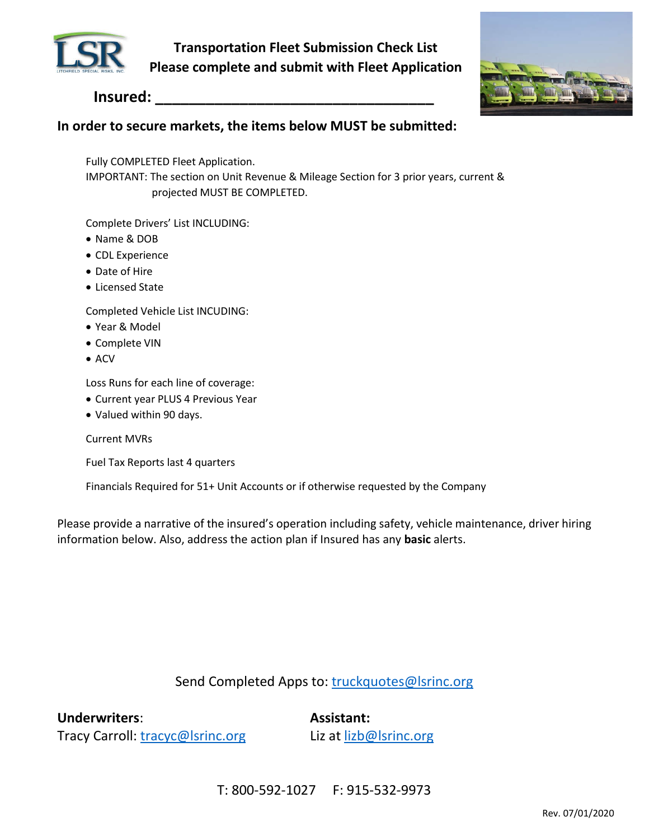

**Transportation Fleet Submission Check List Please complete and submit with Fleet Application**



## **Insured: \_\_\_\_\_\_\_\_\_\_\_\_\_\_\_\_\_\_\_\_\_\_\_\_\_\_\_\_\_\_\_\_\_**

## **In order to secure markets, the items below MUST be submitted:**

Fully COMPLETED Fleet Application.

IMPORTANT: The section on Unit Revenue & Mileage Section for 3 prior years, current & projected MUST BE COMPLETED.

Complete Drivers' List INCLUDING:

- Name & DOB
- CDL Experience
- Date of Hire
- Licensed State

Completed Vehicle List INCUDING:

- Year & Model
- Complete VIN
- $\bullet$  ACV

Loss Runs for each line of coverage:

- Current year PLUS 4 Previous Year
- Valued within 90 days.

Current MVRs

Fuel Tax Reports last 4 quarters

Financials Required for 51+ Unit Accounts or if otherwise requested by the Company

Please provide a narrative of the insured's operation including safety, vehicle maintenance, driver hiring information below. Also, address the action plan if Insured has any **basic** alerts.

### Send Completed Apps to: truckquotes@lsrinc.org

**Underwriters**: **Assistant:**

Tracy Carroll: tracyc@lsrinc.org Liz at lizb@lsrinc.org

T: 800-592-1027 F: 915-532-9973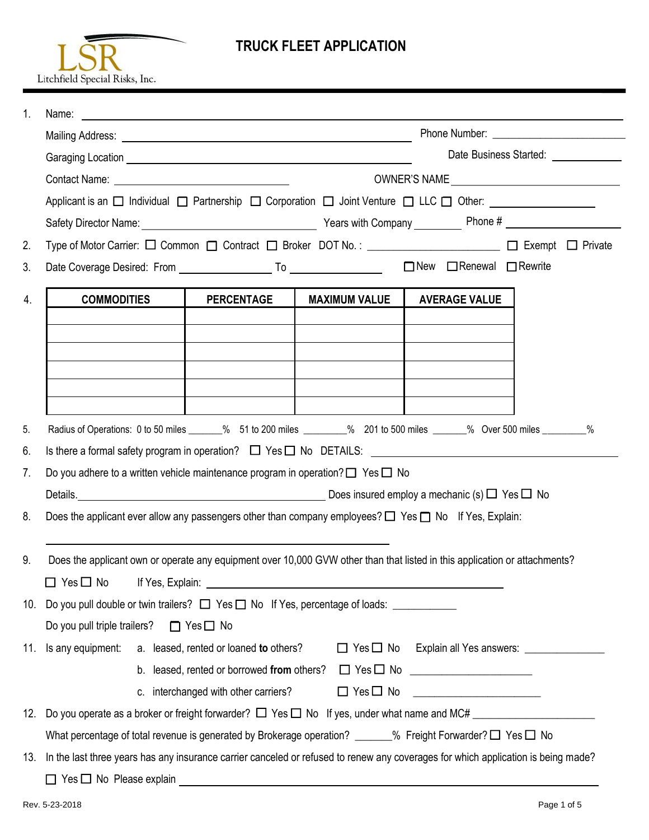

# **TRUCK FLEET APPLICATION**

| $\mathbf{1}$ . |                                                                                                                                   |                                      |                                                                                                                                                                                                                                      |                                          |                                                      |  |  |  |  |
|----------------|-----------------------------------------------------------------------------------------------------------------------------------|--------------------------------------|--------------------------------------------------------------------------------------------------------------------------------------------------------------------------------------------------------------------------------------|------------------------------------------|------------------------------------------------------|--|--|--|--|
|                |                                                                                                                                   |                                      |                                                                                                                                                                                                                                      |                                          |                                                      |  |  |  |  |
|                |                                                                                                                                   |                                      | Date Business Started: _____________                                                                                                                                                                                                 |                                          |                                                      |  |  |  |  |
|                |                                                                                                                                   |                                      |                                                                                                                                                                                                                                      |                                          |                                                      |  |  |  |  |
|                | Applicant is an □ Individual □ Partnership □ Corporation □ Joint Venture □ LLC □ Other: _________________                         |                                      |                                                                                                                                                                                                                                      |                                          |                                                      |  |  |  |  |
|                |                                                                                                                                   |                                      |                                                                                                                                                                                                                                      |                                          |                                                      |  |  |  |  |
| 2.             | Type of Motor Carrier: $\Box$ Common $\Box$ Contract $\Box$ Broker DOT No.: ________________________ $\Box$ Exempt $\Box$ Private |                                      |                                                                                                                                                                                                                                      |                                          |                                                      |  |  |  |  |
| 3.             |                                                                                                                                   |                                      |                                                                                                                                                                                                                                      | $\Box$ New $\Box$ Renewal $\Box$ Rewrite |                                                      |  |  |  |  |
| 4.             | <b>COMMODITIES</b>                                                                                                                | <b>PERCENTAGE</b>                    | <b>MAXIMUM VALUE</b>                                                                                                                                                                                                                 | <b>AVERAGE VALUE</b>                     |                                                      |  |  |  |  |
|                |                                                                                                                                   |                                      |                                                                                                                                                                                                                                      |                                          |                                                      |  |  |  |  |
|                |                                                                                                                                   |                                      |                                                                                                                                                                                                                                      |                                          |                                                      |  |  |  |  |
|                |                                                                                                                                   |                                      |                                                                                                                                                                                                                                      |                                          |                                                      |  |  |  |  |
| 5.             | Radius of Operations: 0 to 50 miles ______% 51 to 200 miles ________% 201 to 500 miles ______% Over 500 miles _______%            |                                      |                                                                                                                                                                                                                                      |                                          |                                                      |  |  |  |  |
| 6.             | Is there a formal safety program in operation? $\Box$ Yes $\Box$ No DETAILS: $\Box$                                               |                                      |                                                                                                                                                                                                                                      |                                          |                                                      |  |  |  |  |
| 7.             | Do you adhere to a written vehicle maintenance program in operation? $\square$ Yes $\square$ No                                   |                                      |                                                                                                                                                                                                                                      |                                          |                                                      |  |  |  |  |
|                |                                                                                                                                   |                                      |                                                                                                                                                                                                                                      |                                          |                                                      |  |  |  |  |
| 8.             | Does the applicant ever allow any passengers other than company employees? $\Box$ Yes $\Box$ No If Yes, Explain:                  |                                      |                                                                                                                                                                                                                                      |                                          |                                                      |  |  |  |  |
| 9.             | Does the applicant own or operate any equipment over 10,000 GVW other than that listed in this application or attachments?        |                                      |                                                                                                                                                                                                                                      |                                          |                                                      |  |  |  |  |
|                | $\Box$ Yes $\Box$ No                                                                                                              |                                      | If Yes, Explain: <u>New York Contract and State Contract and State Contract and State Contract and State Contract of State Contract and State Contract and State Contract and State Contract and State Contract and State Contra</u> |                                          |                                                      |  |  |  |  |
|                | 10. Do you pull double or twin trailers? $\Box$ Yes $\Box$ No If Yes, percentage of loads: ____________                           |                                      |                                                                                                                                                                                                                                      |                                          |                                                      |  |  |  |  |
|                | $\Box$ Yes $\Box$ No<br>Do you pull triple trailers?                                                                              |                                      |                                                                                                                                                                                                                                      |                                          |                                                      |  |  |  |  |
|                | 11. Is any equipment: a. leased, rented or loaned to others?                                                                      |                                      |                                                                                                                                                                                                                                      |                                          | $\Box$ Yes $\Box$ No Explain all Yes answers: $\Box$ |  |  |  |  |
|                |                                                                                                                                   |                                      | b. leased, rented or borrowed from others? $\Box$ Yes $\Box$ No $\Box$ $\Box$                                                                                                                                                        |                                          |                                                      |  |  |  |  |
|                |                                                                                                                                   | c. interchanged with other carriers? | $\Box$ Yes $\Box$ No                                                                                                                                                                                                                 |                                          |                                                      |  |  |  |  |
|                |                                                                                                                                   |                                      |                                                                                                                                                                                                                                      |                                          |                                                      |  |  |  |  |
|                | What percentage of total revenue is generated by Brokerage operation? ______% Freight Forwarder? $\Box$ Yes $\Box$ No             |                                      |                                                                                                                                                                                                                                      |                                          |                                                      |  |  |  |  |
| 13.            | In the last three years has any insurance carrier canceled or refused to renew any coverages for which application is being made? |                                      |                                                                                                                                                                                                                                      |                                          |                                                      |  |  |  |  |
|                | $\Box$ Yes $\Box$ No Please explain                                                                                               |                                      |                                                                                                                                                                                                                                      |                                          |                                                      |  |  |  |  |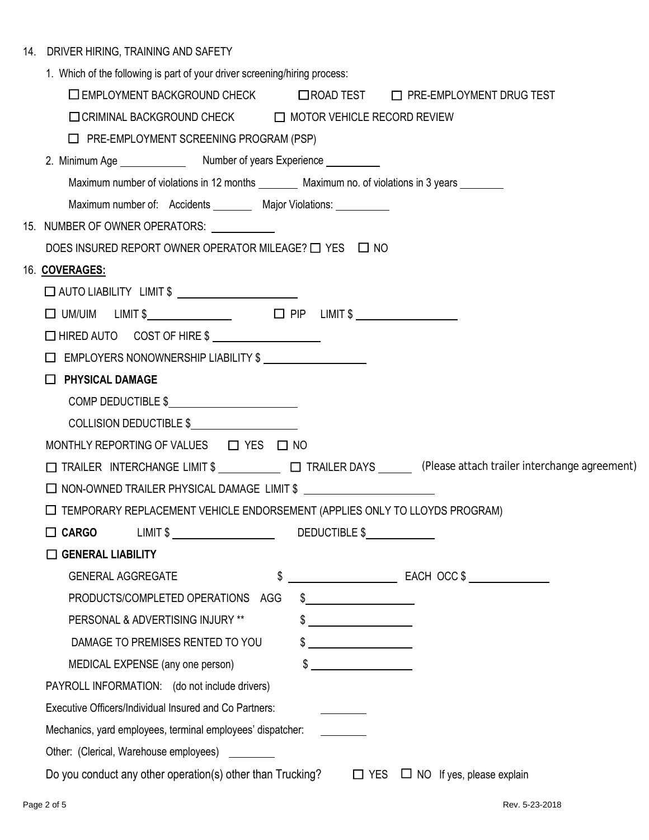|  | 14. DRIVER HIRING, TRAINING AND SAFETY |  |  |  |
|--|----------------------------------------|--|--|--|
|--|----------------------------------------|--|--|--|

| 1. Which of the following is part of your driver screening/hiring process:                                   |
|--------------------------------------------------------------------------------------------------------------|
| □ EMPLOYMENT BACKGROUND CHECK □ ROAD TEST □ PRE-EMPLOYMENT DRUG TEST                                         |
| □ CRIMINAL BACKGROUND CHECK □ MOTOR VEHICLE RECORD REVIEW                                                    |
| $\Box$ PRE-EMPLOYMENT SCREENING PROGRAM (PSP)                                                                |
|                                                                                                              |
| Maximum number of violations in 12 months _________ Maximum no. of violations in 3 years ________            |
| Maximum number of: Accidents _________ Major Violations: __________                                          |
| 15. NUMBER OF OWNER OPERATORS: ____________                                                                  |
| DOES INSURED REPORT OWNER OPERATOR MILEAGE? $\Box$ YES $\Box$ NO                                             |
| 16. COVERAGES:                                                                                               |
| □ AUTO LIABILITY LIMIT \$ _______________________                                                            |
|                                                                                                              |
| □ HIRED AUTO COST OF HIRE \$                                                                                 |
|                                                                                                              |
| $\Box$ PHYSICAL DAMAGE                                                                                       |
| COMP DEDUCTIBLE \$                                                                                           |
| COLLISION DEDUCTIBLE \$                                                                                      |
| MONTHLY REPORTING OF VALUES $\Box$ YES $\Box$ NO                                                             |
| □ TRAILER INTERCHANGE LIMIT \$ □ TRAILER DAYS (Please attach trailer interchange agreement)                  |
| □ NON-OWNED TRAILER PHYSICAL DAMAGE LIMIT \$                                                                 |
| $\Box$ TEMPORARY REPLACEMENT VEHICLE ENDORSEMENT (APPLIES ONLY TO LLOYDS PROGRAM)                            |
| □ CARGO LIMIT \$ DEDUCTIBLE \$                                                                               |
| <b>GENERAL LIABILITY</b>                                                                                     |
| \$<br>EACH OCC \$<br><b>GENERAL AGGREGATE</b>                                                                |
| PRODUCTS/COMPLETED OPERATIONS<br>$\frac{1}{2}$<br>AGG                                                        |
| PERSONAL & ADVERTISING INJURY **                                                                             |
| DAMAGE TO PREMISES RENTED TO YOU<br>\$                                                                       |
| $\overline{\phantom{a}}$<br>MEDICAL EXPENSE (any one person)                                                 |
| PAYROLL INFORMATION: (do not include drivers)                                                                |
| Executive Officers/Individual Insured and Co Partners:                                                       |
| Mechanics, yard employees, terminal employees' dispatcher:                                                   |
| Other: (Clerical, Warehouse employees)                                                                       |
| Do you conduct any other operation(s) other than Trucking?<br>$\Box$ YES<br>$\Box$ NO If yes, please explain |
|                                                                                                              |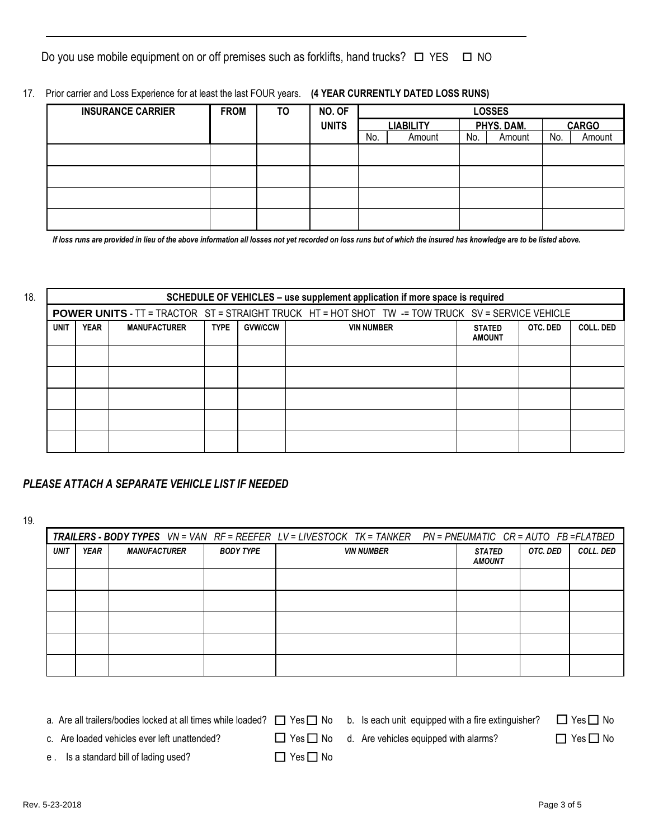Do you use mobile equipment on or off premises such as forklifts, hand trucks?  $\Box$  YES  $\Box$  NO

17. Prior carrier and Loss Experience for at least the last FOUR years. **(4 YEAR CURRENTLY DATED LOSS RUNS)**

| <b>INSURANCE CARRIER</b> | <b>FROM</b> | <b>TO</b> | NO. OF       | <b>LOSSES</b> |                  |     |            |     |              |
|--------------------------|-------------|-----------|--------------|---------------|------------------|-----|------------|-----|--------------|
|                          |             |           | <b>UNITS</b> |               | <b>LIABILITY</b> |     | PHYS. DAM. |     | <b>CARGO</b> |
|                          |             |           |              | No.           | Amount           | No. | Amount     | No. | Amount       |
|                          |             |           |              |               |                  |     |            |     |              |
|                          |             |           |              |               |                  |     |            |     |              |
|                          |             |           |              |               |                  |     |            |     |              |
|                          |             |           |              |               |                  |     |            |     |              |
|                          |             |           |              |               |                  |     |            |     |              |
|                          |             |           |              |               |                  |     |            |     |              |

*If loss runs are provided in lieu of the above information all losses not yet recorded on loss runs but of which the insured has knowledge are to be listed above.*

| 18.                                                                                                                                                   | SCHEDULE OF VEHICLES - use supplement application if more space is required |  |  |  |  |                                                                                                          |           |  |  |
|-------------------------------------------------------------------------------------------------------------------------------------------------------|-----------------------------------------------------------------------------|--|--|--|--|----------------------------------------------------------------------------------------------------------|-----------|--|--|
|                                                                                                                                                       |                                                                             |  |  |  |  | <b>POWER UNITS</b> - TT = TRACTOR ST = STRAIGHT TRUCK HT = HOT SHOT TW -= TOW TRUCK SV = SERVICE VEHICLE |           |  |  |
| <b>YEAR</b><br><b>UNIT</b><br><b>MANUFACTURER</b><br><b>GVW/CCW</b><br>OTC. DED<br><b>TYPE</b><br><b>VIN NUMBER</b><br><b>STATED</b><br><b>AMOUNT</b> |                                                                             |  |  |  |  |                                                                                                          | COLL, DED |  |  |
|                                                                                                                                                       |                                                                             |  |  |  |  |                                                                                                          |           |  |  |
|                                                                                                                                                       |                                                                             |  |  |  |  |                                                                                                          |           |  |  |
|                                                                                                                                                       |                                                                             |  |  |  |  |                                                                                                          |           |  |  |
|                                                                                                                                                       |                                                                             |  |  |  |  |                                                                                                          |           |  |  |
|                                                                                                                                                       |                                                                             |  |  |  |  |                                                                                                          |           |  |  |

#### *PLEASE ATTACH A SEPARATE VEHICLE LIST IF NEEDED*

19.

|             |             |                     |                  | TRAILERS - BODY TYPES VN = VAN RF = REEFER LV = LIVESTOCK TK = TANKER PN = PNEUMATIC CR = AUTO FB = FLATBED |                                |          |           |
|-------------|-------------|---------------------|------------------|-------------------------------------------------------------------------------------------------------------|--------------------------------|----------|-----------|
| <b>UNIT</b> | <b>YEAR</b> | <b>MANUFACTURER</b> | <b>BODY TYPE</b> | <b>VIN NUMBER</b>                                                                                           | <b>STATED</b><br><b>AMOUNT</b> | OTC. DED | COLL. DED |
|             |             |                     |                  |                                                                                                             |                                |          |           |
|             |             |                     |                  |                                                                                                             |                                |          |           |
|             |             |                     |                  |                                                                                                             |                                |          |           |
|             |             |                     |                  |                                                                                                             |                                |          |           |
|             |             |                     |                  |                                                                                                             |                                |          |           |

a. Are all trailers/bodies locked at all times while loaded?  $\Box$  Yes  $\Box$  No b. Is each unit equipped with a fire extinguisher?  $\Box$  Yes  $\Box$  No

c. Are loaded vehicles ever left unattended?  $\square$  Yes  $\square$  No d. Are vehicles equipped with alarms?  $\square$  Yes  $\square$  No

e . Is a standard bill of lading used?  $\Box$  Yes  $\Box$  No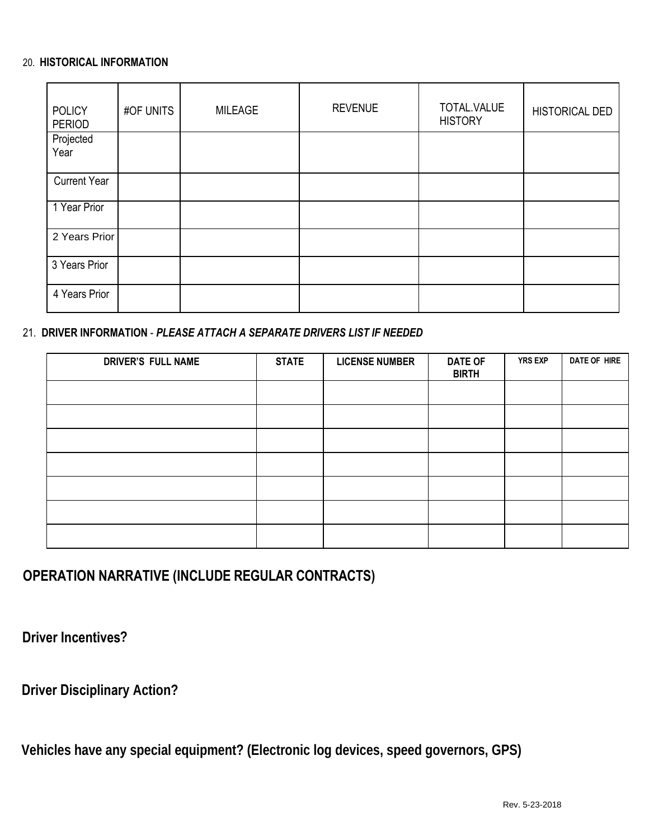#### 20. **HISTORICAL INFORMATION**

| <b>POLICY</b><br><b>PERIOD</b> | #OF UNITS | <b>MILEAGE</b> | <b>REVENUE</b> | TOTAL.VALUE<br><b>HISTORY</b> | <b>HISTORICAL DED</b> |
|--------------------------------|-----------|----------------|----------------|-------------------------------|-----------------------|
| Projected<br>Year              |           |                |                |                               |                       |
| <b>Current Year</b>            |           |                |                |                               |                       |
| 1 Year Prior                   |           |                |                |                               |                       |
| 2 Years Prior                  |           |                |                |                               |                       |
| 3 Years Prior                  |           |                |                |                               |                       |
| 4 Years Prior                  |           |                |                |                               |                       |

### 21. **DRIVER INFORMATION** - *PLEASE ATTACH A SEPARATE DRIVERS LIST IF NEEDED*

| <b>DRIVER'S FULL NAME</b> | <b>STATE</b> | <b>LICENSE NUMBER</b> | <b>DATE OF</b><br><b>BIRTH</b> | <b>YRS EXP</b> | DATE OF HIRE |
|---------------------------|--------------|-----------------------|--------------------------------|----------------|--------------|
|                           |              |                       |                                |                |              |
|                           |              |                       |                                |                |              |
|                           |              |                       |                                |                |              |
|                           |              |                       |                                |                |              |
|                           |              |                       |                                |                |              |
|                           |              |                       |                                |                |              |
|                           |              |                       |                                |                |              |

# **OPERATION NARRATIVE (INCLUDE REGULAR CONTRACTS)**

**Driver Incentives?**

**Driver Disciplinary Action?**

**Vehicles have any special equipment? (Electronic log devices, speed governors, GPS)**